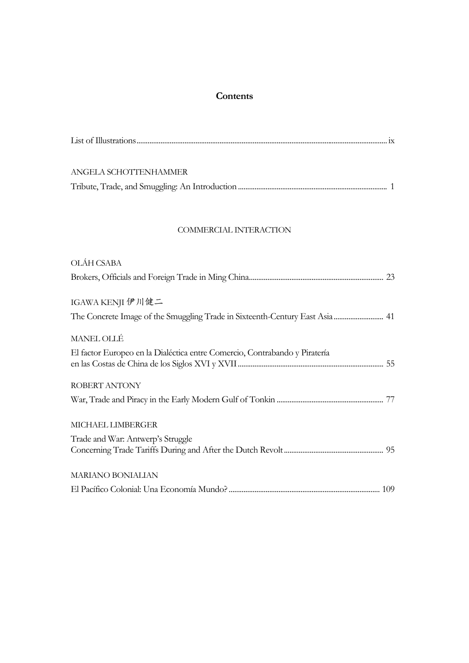# **Contents**

| ANGELA SCHOTTENHAMMER |  |
|-----------------------|--|
|                       |  |

## COMMERCIAL INTERACTION

| OLÁH CSABA                                                                 |
|----------------------------------------------------------------------------|
|                                                                            |
|                                                                            |
| IGAWA KENJI 伊川健二                                                           |
|                                                                            |
| MANEL OLLÉ                                                                 |
| El factor Europeo en la Dialéctica entre Comercio, Contrabando y Piratería |
|                                                                            |
| ROBERT ANTONY                                                              |
|                                                                            |
| MICHAEL LIMBERGER                                                          |
|                                                                            |
| Trade and War: Antwerp's Struggle                                          |
|                                                                            |
| <b>MARIANO BONIALIAN</b>                                                   |
|                                                                            |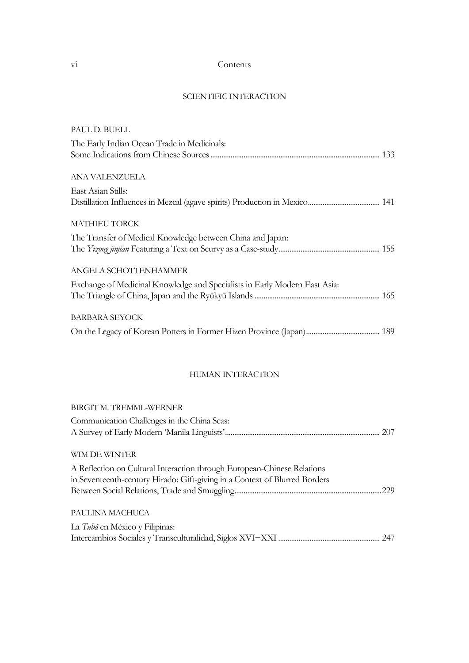## vi Contents

### SCIENTIFIC INTERACTION

| PAUL D. BUELL                                                              |  |
|----------------------------------------------------------------------------|--|
| The Early Indian Ocean Trade in Medicinals:                                |  |
|                                                                            |  |
| ANA VALENZUELA                                                             |  |
| East Asian Stills:                                                         |  |
|                                                                            |  |
| <b>MATHIEU TORCK</b>                                                       |  |
| The Transfer of Medical Knowledge between China and Japan:                 |  |
|                                                                            |  |
| ANGELA SCHOTTENHAMMER                                                      |  |
| Exchange of Medicinal Knowledge and Specialists in Early Modern East Asia: |  |
|                                                                            |  |
| <b>BARBARA SEYOCK</b>                                                      |  |
|                                                                            |  |
|                                                                            |  |

### HUMAN INTERACTION

| 229 |
|-----|
|     |
|     |
|     |
|     |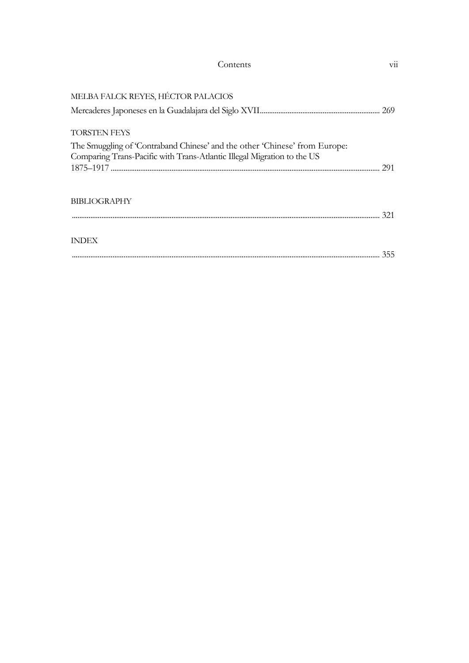| MELBA FALCK REYES, HÉCTOR PALACIOS                                                                                                                    |     |
|-------------------------------------------------------------------------------------------------------------------------------------------------------|-----|
|                                                                                                                                                       | 269 |
| <b>TORSTEN FEYS</b>                                                                                                                                   |     |
| The Smuggling of 'Contraband Chinese' and the other 'Chinese' from Europe:<br>Comparing Trans-Pacific with Trans-Atlantic Illegal Migration to the US |     |
|                                                                                                                                                       | 291 |
|                                                                                                                                                       |     |
| <b>BIBLIOGRAPHY</b>                                                                                                                                   | 321 |
|                                                                                                                                                       |     |
| <b>INDEX</b>                                                                                                                                          |     |
|                                                                                                                                                       | 355 |

Contents vii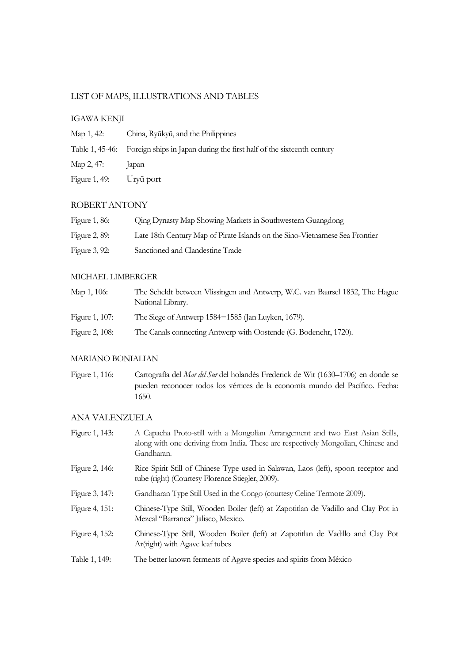## LIST OF MAPS, ILLUSTRATIONS AND TABLES

### IGAWA KENJI

| Map 1, 42:    | China, Ryūkyū, and the Philippines                                                    |
|---------------|---------------------------------------------------------------------------------------|
|               | Table 1, 45-46: Foreign ships in Japan during the first half of the sixteenth century |
| Мар 2, 47:    | apan                                                                                  |
| Figure 1, 49: | Uryū port                                                                             |

### ROBERT ANTONY

| Figure 1, 86: | <b>Qing Dynasty Map Showing Markets in Southwestern Guangdong</b>           |
|---------------|-----------------------------------------------------------------------------|
| Figure 2, 89: | Late 18th Century Map of Pirate Islands on the Sino-Vietnamese Sea Frontier |
| Figure 3, 92: | Sanctioned and Clandestine Trade                                            |

#### MICHAEL LIMBERGER

| Мар 1, 106:    | The Scheldt between Vlissingen and Antwerp, W.C. van Baarsel 1832, The Hague<br>National Library. |
|----------------|---------------------------------------------------------------------------------------------------|
| Figure 1, 107: | The Siege of Antwerp 1584–1585 (Jan Luyken, 1679).                                                |
| Figure 2, 108: | The Canals connecting Antwerp with Oostende (G. Bodenehr, 1720).                                  |

### MARIANO BONIALIAN

Figure 1, 116: Cartografía del *Mar del Sur* del holandés Frederick de Wit (1630–1706) en donde se pueden reconocer todos los vértices de la economía mundo del Pacífico. Fecha: 1650.

### ANA VALENZUELA

| Figure 1, 143: | A Capacha Proto-still with a Mongolian Arrangement and two East Asian Stills,<br>along with one deriving from India. These are respectively Mongolian, Chinese and<br>Gandharan. |
|----------------|----------------------------------------------------------------------------------------------------------------------------------------------------------------------------------|
| Figure 2, 146: | Rice Spirit Still of Chinese Type used in Salawan, Laos (left), spoon receptor and<br>tube (right) (Courtesy Florence Stiegler, 2009).                                           |
| Figure 3, 147: | Gandharan Type Still Used in the Congo (courtesy Celine Termote 2009).                                                                                                           |
| Figure 4, 151: | Chinese-Type Still, Wooden Boiler (left) at Zapotitlan de Vadillo and Clay Pot in<br>Mezcal "Barranca" Jalisco, Mexico.                                                          |
| Figure 4, 152: | Chinese-Type Still, Wooden Boiler (left) at Zapotitlan de Vadillo and Clay Pot<br>Ar(right) with Agave leaf tubes                                                                |
| Table 1, 149:  | The better known ferments of Agave species and spints from México                                                                                                                |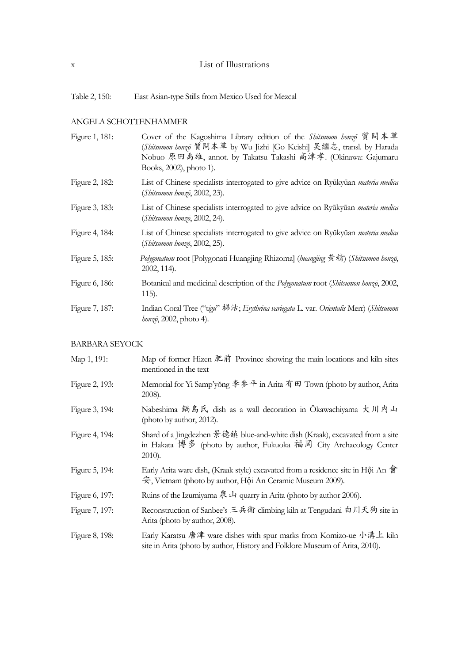## x List of Illustrations

Table 2, 150: East Asian-type Stills from Mexico Used for Mezcal

## ANGELA SCHOTTENHAMMER

| Figure 1, 181: | Cover of the Kagoshima Library edition of the Shitsumon honzo 質問本草<br>(Shitsumon honzo 質問本草 by Wu Jizhi [Go Keishi] 吴繼志, transl. by Harada<br>Nobuo 原田禹雄, annot. by Takatsu Takashi 高津孝. (Okinawa: Gajumaru<br>Books, 2002), photo 1). |
|----------------|----------------------------------------------------------------------------------------------------------------------------------------------------------------------------------------------------------------------------------------|
| Figure 2, 182: | List of Chinese specialists interrogated to give advice on Ryūkyūan <i>materia medica</i><br>(Shitsumon honzo, 2002, 23).                                                                                                              |
| Figure 3, 183: | List of Chinese specialists interrogated to give advice on Ryūkyūan <i>materia medica</i><br>(Shitsumon honzo, 2002, 24).                                                                                                              |
| Figure 4, 184: | List of Chinese specialists interrogated to give advice on Ryūkyūan materia medica<br>(Shitsumon honzo, 2002, 25).                                                                                                                     |
| Figure 5, 185: | Polygonatum root [Polygonati Huangjing Rhizoma] (huangjing 黄精) (Shitsumon honzō,<br>2002, 114).                                                                                                                                        |
| Figure 6, 186: | Botanical and medicinal description of the Polygonatum root (Shitsumon honzō, 2002,<br>$115$ ).                                                                                                                                        |
| Figure 7, 187: | Indian Coral Tree ("tigu" 梯法; Erythrina variegata L. var. Orientalis Merr) (Shitsumon<br>honzō, 2002, photo 4).                                                                                                                        |

### BARBARA SEYOCK

| Map 1, 191:    | Map of former Hizen 肥前 Province showing the main locations and kiln sites<br>mentioned in the text                                                             |
|----------------|----------------------------------------------------------------------------------------------------------------------------------------------------------------|
| Figure 2, 193: | Memorial for Yi Samp'yong 李參平 in Arita 有田 Town (photo by author, Arita<br>2008).                                                                               |
| Figure 3, 194: | Nabeshima 鍋島氏 dish as a wall decoration in Okawachiyama 大川内山<br>(photo by author, 2012).                                                                       |
| Figure 4, 194: | Shard of a Jingdezhen 景德鎮 blue-and-white dish (Kraak), excavated from a site<br>in Hakata 博多 (photo by author, Fukuoka 福岡 City Archaeology Center<br>$2010$ ). |
| Figure 5, 194: | Early Arita ware dish, (Kraak style) excavated from a residence site in Hội An 會<br>安, Vietnam (photo by author, Hội An Ceramic Museum 2009).                  |
| Figure 6, 197: | Ruins of the Izumiyama $\hat{\mathcal{R}} \downarrow$ quarry in Arita (photo by author 2006).                                                                  |
| Figure 7, 197: | Reconstruction of Sanbee's 三兵衛 climbing kiln at Tengudani 白川天狗 site in<br>Arita (photo by author, 2008).                                                       |
| Figure 8, 198: | Early Karatsu 唐津 ware dishes with spur marks from Komizo-ue 小溝上 kiln<br>site in Arita (photo by author, History and Folklore Museum of Arita, 2010).           |